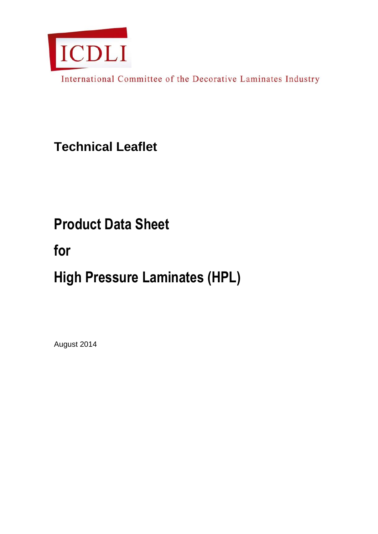

International Committee of the Decorative Laminates Industry

**Technical Leaflet**

## **Product Data Sheet**

## **for**

# **High Pressure Laminates (HPL)**

August 2014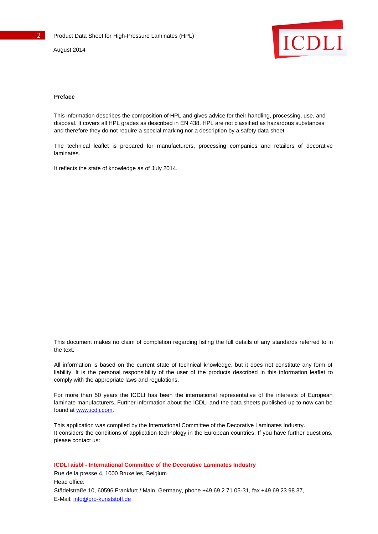

#### **Preface**

This information describes the composition of HPL and gives advice for their handling, processing, use, and disposal. It covers all HPL grades as described in EN 438. HPL are not classified as hazardous substances and therefore they do not require a special marking nor a description by a safety data sheet.

The technical leaflet is prepared for manufacturers, processing companies and retailers of decorative laminates.

It reflects the state of knowledge as of July 2014.

This document makes no claim of completion regarding listing the full details of any standards referred to in the text.

All information is based on the current state of technical knowledge, but it does not constitute any form of liability. It is the personal responsibility of the user of the products described in this information leaflet to comply with the appropriate laws and regulations.

For more than 50 years the ICDLI has been the international representative of the interests of European laminate manufacturers. Further information about the ICDLI and the data sheets published up to now can be found at [www.icdli.com.](http://www.icdli.com/)

This application was compiled by the International Committee of the Decorative Laminates Industry. It considers the conditions of application technology in the European countries. If you have further questions, please contact us:

**ICDLI aisbl - International Committee of the Decorative Laminates Industry** Rue de la presse 4, 1000 Bruxelles, Belgium Head office: Städelstraße 10, 60596 Frankfurt / Main, Germany, phone +49 69 2 71 05-31, fax +49 69 23 98 37,

E-Mail[: info@pro-kunststoff.de](mailto:info@pro-kunststoff.de)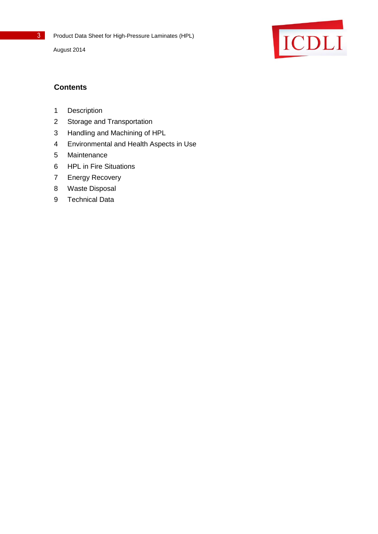

## **Contents**

- Description
- Storage and Transportation
- Handling and Machining of HPL
- Environmental and Health Aspects in Use
- Maintenance
- HPL in Fire Situations
- Energy Recovery
- Waste Disposal
- Technical Data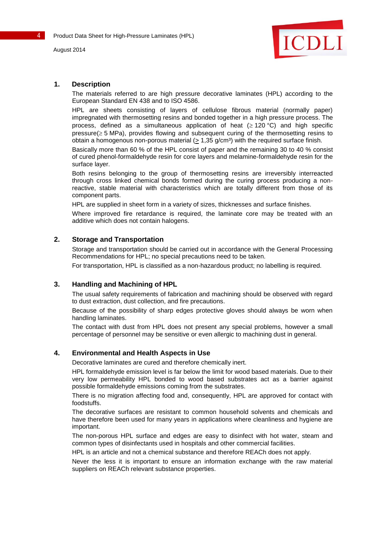

## **1. Description**

The materials referred to are high pressure decorative laminates (HPL) according to the European Standard EN 438 and to ISO 4586.

HPL are sheets consisting of layers of cellulose fibrous material (normally paper) impregnated with thermosetting resins and bonded together in a high pressure process. The process, defined as a simultaneous application of heat  $( \geq 120 \degree C)$  and high specific  $presure(\geq 5 MPa)$ , provides flowing and subsequent curing of the thermosetting resins to obtain a homogenous non-porous material ( $\geq$  1,35 g/cm<sup>3</sup>) with the required surface finish.

Basically more than 60 % of the HPL consist of paper and the remaining 30 to 40 % consist of cured phenol-formaldehyde resin for core layers and melamine-formaldehyde resin for the surface layer.

Both resins belonging to the group of thermosetting resins are irreversibly interreacted through cross linked chemical bonds formed during the curing process producing a nonreactive, stable material with characteristics which are totally different from those of its component parts.

HPL are supplied in sheet form in a variety of sizes, thicknesses and surface finishes.

Where improved fire retardance is required, the laminate core may be treated with an additive which does not contain halogens.

## **2. Storage and Transportation**

Storage and transportation should be carried out in accordance with the General Processing Recommendations for HPL; no special precautions need to be taken.

For transportation, HPL is classified as a non-hazardous product; no labelling is required.

## **3. Handling and Machining of HPL**

The usual safety requirements of fabrication and machining should be observed with regard to dust extraction, dust collection, and fire precautions.

Because of the possibility of sharp edges protective gloves should always be worn when handling laminates.

The contact with dust from HPL does not present any special problems, however a small percentage of personnel may be sensitive or even allergic to machining dust in general.

## **4. Environmental and Health Aspects in Use**

Decorative laminates are cured and therefore chemically inert.

HPL formaldehyde emission level is far below the limit for wood based materials. Due to their very low permeability HPL bonded to wood based substrates act as a barrier against possible formaldehyde emissions coming from the substrates.

There is no migration affecting food and, consequently, HPL are approved for contact with foodstuffs.

The decorative surfaces are resistant to common household solvents and chemicals and have therefore been used for many years in applications where cleanliness and hygiene are important.

The non-porous HPL surface and edges are easy to disinfect with hot water, steam and common types of disinfectants used in hospitals and other commercial facilities.

HPL is an article and not a chemical substance and therefore REACh does not apply.

Never the less it is important to ensure an information exchange with the raw material suppliers on REACh relevant substance properties.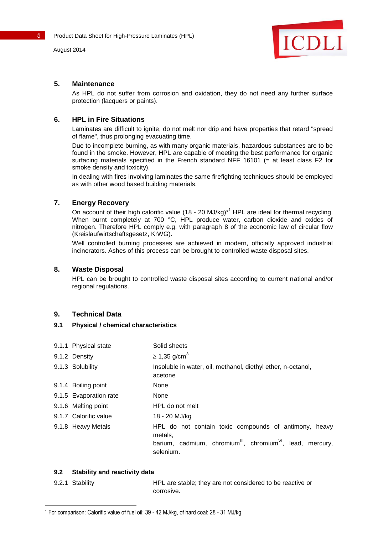

## **5. Maintenance**

As HPL do not suffer from corrosion and oxidation, they do not need any further surface protection (lacquers or paints).

## **6. HPL in Fire Situations**

Laminates are difficult to ignite, do not melt nor drip and have properties that retard "spread of flame", thus prolonging evacuating time.

Due to incomplete burning, as with many organic materials, hazardous substances are to be found in the smoke. However, HPL are capable of meeting the best performance for organic surfacing materials specified in the French standard NFF 16101 (= at least class F2 for smoke density and toxicity).

In dealing with fires involving laminates the same firefighting techniques should be employed as with other wood based building materials.

## **7. Energy Recovery**

On account of their high calorific value (18 - 20 MJ/kg)<sup>\*1</sup> HPL are ideal for thermal recycling. When burnt completely at 700 °C, HPL produce water, carbon dioxide and oxides of nitrogen. Therefore HPL comply e.g. with paragraph 8 of the economic law of circular flow (Kreislaufwirtschaftsgesetz, KrWG).

Well controlled burning processes are achieved in modern, officially approved industrial incinerators. Ashes of this process can be brought to controlled waste disposal sites.

## **8. Waste Disposal**

HPL can be brought to controlled waste disposal sites according to current national and/or regional regulations.

## **9. Technical Data**

## **9.1 Physical / chemical characteristics**

- 9.1.1 Physical state Solid sheets
- 9.1.2 Density  $\geq 1,35$  g/cm<sup>3</sup>
- 9.1.3 Solubility **Insoluble in water, oil, methanol, diethyl ether, n-octanol,**

acetone

- 9.1.4 Boiling point None
- 9.1.5 Evaporation rate Mone
- 9.1.6 Melting point HPL do not melt
- 9.1.7 Calorific value 18 20 MJ/kg
- 9.1.8 Heavy Metals HPL do not contain toxic compounds of antimony, heavy metals,
	- barium, cadmium, chromium $\mathsf{I}^{\mathsf{III}}$ , chromium $\mathsf{I}^{\mathsf{VI}}$ , lead, mercury, selenium.

## **9.2 Stability and reactivity data**

l

9.2.1 Stability HPL are stable; they are not considered to be reactive or corrosive.

<sup>1</sup> For comparison: Calorific value of fuel oil: 39 - 42 MJ/kg, of hard coal: 28 - 31 MJ/kg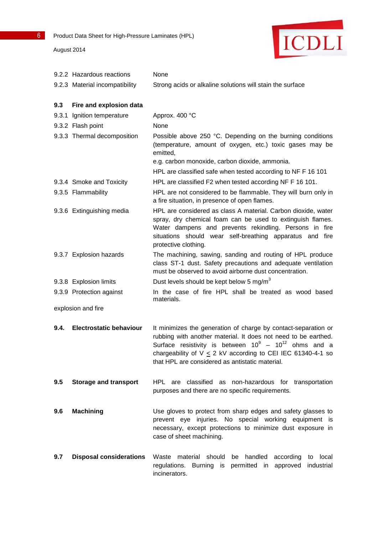| August 2014 |  |  |
|-------------|--|--|
|-------------|--|--|



|                    | 9.2.2 Hazardous reactions      | None                                                                                                                                                                                                                                                                                                                 |  |
|--------------------|--------------------------------|----------------------------------------------------------------------------------------------------------------------------------------------------------------------------------------------------------------------------------------------------------------------------------------------------------------------|--|
|                    | 9.2.3 Material incompatibility | Strong acids or alkaline solutions will stain the surface                                                                                                                                                                                                                                                            |  |
| 9.3                | Fire and explosion data        |                                                                                                                                                                                                                                                                                                                      |  |
|                    | 9.3.1 Ignition temperature     | Approx. 400 °C                                                                                                                                                                                                                                                                                                       |  |
|                    | 9.3.2 Flash point              | None                                                                                                                                                                                                                                                                                                                 |  |
|                    | 9.3.3 Thermal decomposition    | Possible above 250 °C. Depending on the burning conditions<br>(temperature, amount of oxygen, etc.) toxic gases may be<br>emitted,<br>e.g. carbon monoxide, carbon dioxide, ammonia.                                                                                                                                 |  |
|                    |                                | HPL are classified safe when tested according to NF F 16 101                                                                                                                                                                                                                                                         |  |
|                    | 9.3.4 Smoke and Toxicity       | HPL are classified F2 when tested according NF F 16 101.                                                                                                                                                                                                                                                             |  |
|                    | 9.3.5 Flammability             | HPL are not considered to be flammable. They will burn only in<br>a fire situation, in presence of open flames.                                                                                                                                                                                                      |  |
|                    | 9.3.6 Extinguishing media      | HPL are considered as class A material. Carbon dioxide, water<br>spray, dry chemical foam can be used to extinguish flames.<br>Water dampens and prevents rekindling. Persons in fire<br>situations should wear self-breathing apparatus and fire<br>protective clothing.                                            |  |
|                    | 9.3.7 Explosion hazards        | The machining, sawing, sanding and routing of HPL produce<br>class ST-1 dust. Safety precautions and adequate ventilation<br>must be observed to avoid airborne dust concentration.                                                                                                                                  |  |
|                    | 9.3.8 Explosion limits         | Dust levels should be kept below 5 mg/m <sup>3</sup>                                                                                                                                                                                                                                                                 |  |
|                    | 9.3.9 Protection against       | In the case of fire HPL shall be treated as wood based<br>materials.                                                                                                                                                                                                                                                 |  |
| explosion and fire |                                |                                                                                                                                                                                                                                                                                                                      |  |
| 9.4.               | <b>Electrostatic behaviour</b> | It minimizes the generation of charge by contact-separation or<br>rubbing with another material. It does not need to be earthed.<br>Surface resistivity is between $10^9 - 10^{12}$ ohms and a<br>chargeability of $V \le 2$ kV according to CEI IEC 61340-4-1 so<br>that HPL are considered as antistatic material. |  |
| 9.5                | <b>Storage and transport</b>   | HPL are classified as non-hazardous for transportation<br>purposes and there are no specific requirements.                                                                                                                                                                                                           |  |
| 9.6                | <b>Machining</b>               | Use gloves to protect from sharp edges and safety glasses to<br>prevent eye injuries. No special working equipment is<br>necessary, except protections to minimize dust exposure in<br>case of sheet machining.                                                                                                      |  |
| 9.7                | <b>Disposal considerations</b> | Waste material should be handled according<br>to local<br>regulations. Burning is permitted in approved industrial<br>incinerators.                                                                                                                                                                                  |  |